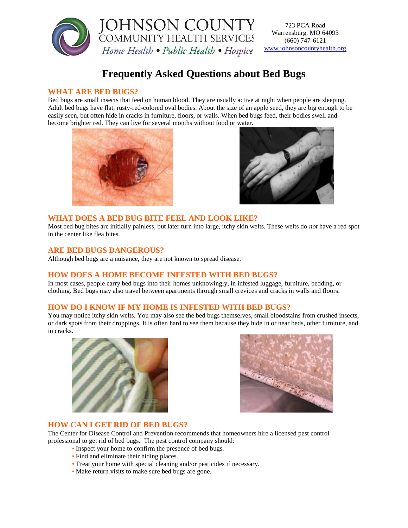

723 PCA Road Warrensburg, MO 64093 (660) 747-6121 [www.johnsoncountyhealth.org](http://www.johnsoncountyhelaht.org/)

# **Frequently Asked Questions about Bed Bugs**

# **WHAT ARE BED BUGS?**

Bed bugs are small insects that feed on human blood. They are usually active at night when people are sleeping. Adult bed bugs have flat, rusty-red-colored oval bodies. About the size of an apple seed, they are big enough to be easily seen, but often hide in cracks in furniture, floors, or walls. When bed bugs feed, their bodies swell and become brighter red. They can live for several months without food or water.





## **WHAT DOES A BED BUG BITE FEEL AND LOOK LIKE?**

Most bed bug bites are initially painless, but later turn into large, itchy skin welts. These welts do *not* have a red spot in the center like flea bites.

### **ARE BED BUGS DANGEROUS?**

Although bed bugs are a nuisance, they are not known to spread disease.

# **HOW DOES A HOME BECOME INFESTED WITH BED BUGS?**

In most cases, people carry bed bugs into their homes unknowingly, in infested luggage, furniture, bedding, or clothing. Bed bugs may also travel between apartments through small crevices and cracks in walls and floors.

# **HOW DO I KNOW IF MY HOME IS INFESTED WITH BED BUGS?**

You may notice itchy skin welts. You may also see the bed bugs themselves, small bloodstains from crushed insects, or dark spots from their droppings. It is often hard to see them because they hide in or near beds, other furniture, and in cracks.





### **HOW CAN I GET RID OF BED BUGS?**

The Center for Disease Control and Prevention recommends that homeowners hire a licensed pest control professional to get rid of bed bugs. The pest control company should:

- Inspect your home to confirm the presence of bed bugs.
- Find and eliminate their hiding places.
- Treat your home with special cleaning and/or pesticides if necessary.
- Make return visits to make sure bed bugs are gone.